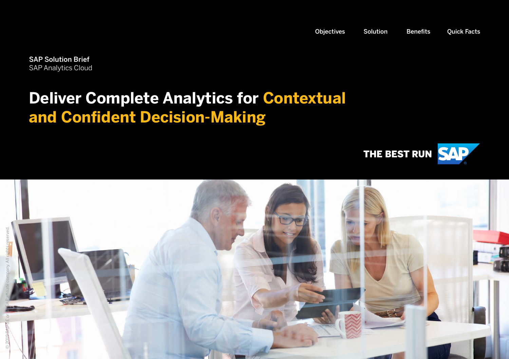<span id="page-0-0"></span>SAP Solution Brief SAP Analytics Cloud

### **Deliver Complete Analytics for Contextual and Confident Decision-Making**



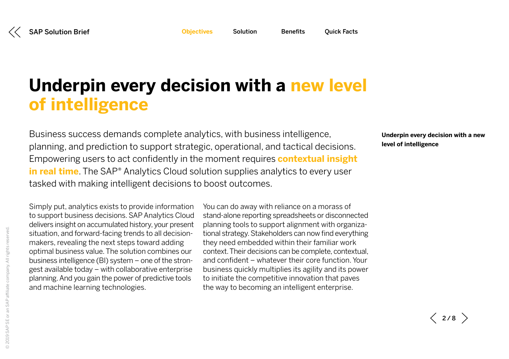<span id="page-1-1"></span>

## <span id="page-1-0"></span>**Underpin every decision with a new level of intelligence**

Business success demands complete analytics, with business intelligence, planning, and prediction to support strategic, operational, and tactical decisions. Empowering users to act confidently in the moment requires **contextual insight in real time**. The SAP<sup>®</sup> Analytics Cloud solution supplies analytics to every user tasked with making intelligent decisions to boost outcomes.

Simply put, analytics exists to provide information to support business decisions. SAP Analytics Cloud delivers insight on accumulated history, your present situation, and forward-facing trends to all decisionmakers, revealing the next steps toward adding optimal business value. The solution combines our business intelligence (BI) system – one of the strongest available today – with collaborative enterprise planning. And you gain the power of predictive tools and machine learning technologies.

You can do away with reliance on a morass of stand-alone reporting spreadsheets or disconnected planning tools to support alignment with organizational strategy. Stakeholders can now find everything they need embedded within their familiar work context. Their decisions can be complete, contextual, and confident – whatever their core function. Your business quickly multiplies its agility and its power to initiate the competitive innovation that paves the way to becoming an intelligent enterprise.

**Underpin every decision with a new level of intelligence**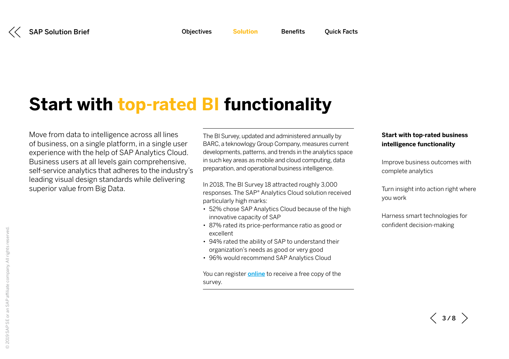<span id="page-2-0"></span>

## **Start with top-rated BI functionality**

Move from data to intelligence across all lines of business, on a single platform, in a single user experience with the help of SAP Analytics Cloud. Business users at all levels gain comprehensive, self-service analytics that adheres to the industry's leading visual design standards while delivering superior value from Big Data.

The BI Survey, updated and administered annually by BARC, a teknowlogy Group Company, measures current developments, patterns, and trends in the analytics space in such key areas as mobile and cloud computing, data preparation, and operational business intelligence.

In 2018, The BI Survey 18 attracted roughly 3,000 responses. The SAP® Analytics Cloud solution received particularly high marks:

- 52% chose SAP Analytics Cloud because of the high innovative capacity of SAP
- 87% rated its price-performance ratio as good or excellent
- 94% rated the ability of SAP to understand their organization's needs as good or very good
- 96% would recommend SAP Analytics Cloud

You can register **[online](http://www.sap.com/barc-bi-survey-18)** to receive a free copy of the survey.

#### **Start with top-rated business intelligence functionality**

[Improve business outcomes with](#page-3-0)  [complete analytics](#page-3-0)

[Turn insight into action right where](#page-4-0)  [you work](#page-4-0)

[Harness smart technologies for](#page-5-0)  [confident decision-making](#page-5-0) 

 $\langle$  3/8  $\rangle$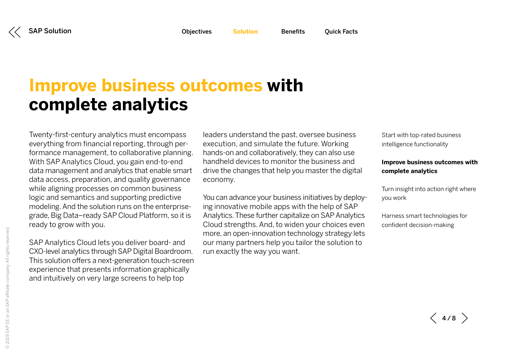<span id="page-3-0"></span>[SAP Solution](#page-0-0) 

## **Improve business outcomes with complete analytics**

Twenty-first-century analytics must encompass everything from financial reporting, through performance management, to collaborative planning. With SAP Analytics Cloud, you gain end-to-end data management and analytics that enable smart data access, preparation, and quality governance while aligning processes on common business logic and semantics and supporting predictive modeling. And the solution runs on the enterprisegrade, Big Data–ready SAP Cloud Platform, so it is ready to grow with you.

SAP Analytics Cloud lets you deliver board- and CXO-level analytics through SAP Digital Boardroom. This solution offers a next-generation touch-screen experience that presents information graphically and intuitively on very large screens to help top

leaders understand the past, oversee business execution, and simulate the future. Working hands-on and collaboratively, they can also use handheld devices to monitor the business and drive the changes that help you master the digital economy.

You can advance your business initiatives by deploying innovative mobile apps with the help of SAP Analytics. These further capitalize on SAP Analytics Cloud strengths. And, to widen your choices even more, an open-innovation technology strategy lets our many partners help you tailor the solution to run exactly the way you want.

[Start with top-rated business](#page-2-0) [intelligence functionality](#page-2-0)

#### **Improve business outcomes with complete analytics**

[Turn insight into action right where](#page-4-0)  [you work](#page-4-0)

[Harness smart technologies for](#page-5-0)  [confident decision-making](#page-5-0)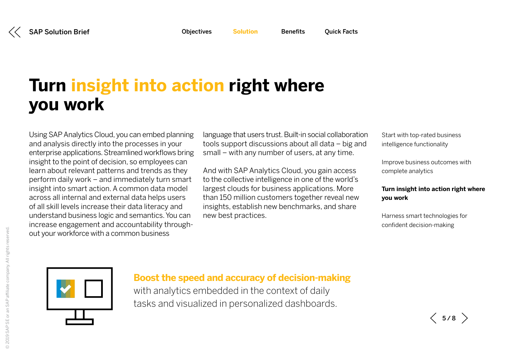# <span id="page-4-0"></span>**Turn insight into action right where you work**

Using SAP Analytics Cloud, you can embed planning and analysis directly into the processes in your enterprise applications. Streamlined workflows bring insight to the point of decision, so employees can learn about relevant patterns and trends as they perform daily work – and immediately turn smart insight into smart action. A common data model across all internal and external data helps users of all skill levels increase their data literacy and understand business logic and semantics. You can increase engagement and accountability throughout your workforce with a common business

language that users trust. Built-in social collaboration tools support discussions about all data – big and small – with any number of users, at any time.

And with SAP Analytics Cloud, you gain access to the collective intelligence in one of the world's largest clouds for business applications. More than 150 million customers together reveal new insights, establish new benchmarks, and share new best practices.

[Start with top-rated business](#page-2-0)  [intelligence functionality](#page-2-0)

[Improve business outcomes with](#page-3-0)  [complete analytics](#page-3-0)

#### **Turn insight into action right where you work**

[Harness smart technologies for](#page-5-0)  [confident decision-making](#page-5-0) 



### **Boost the speed and accuracy of decision-making**

with analytics embedded in the context of daily tasks and visualized in personalized dashboards.

 $\langle$  5/8  $\rangle$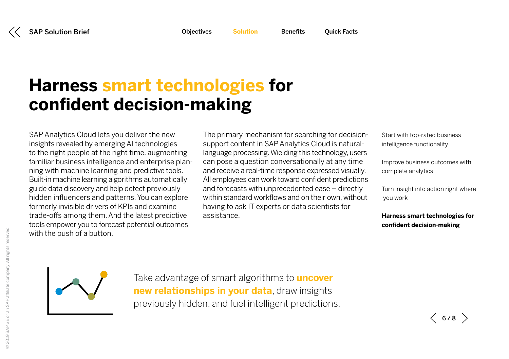## <span id="page-5-0"></span>**Harness smart technologies for confident decision-making**

SAP Analytics Cloud lets you deliver the new insights revealed by emerging AI technologies to the right people at the right time, augmenting familiar business intelligence and enterprise planning with machine learning and predictive tools. Built-in machine learning algorithms automatically guide data discovery and help detect previously hidden influencers and patterns. You can explore formerly invisible drivers of KPIs and examine trade-offs among them. And the latest predictive tools empower you to forecast potential outcomes with the push of a button.

The primary mechanism for searching for decisionsupport content in SAP Analytics Cloud is naturallanguage processing. Wielding this technology, users can pose a question conversationally at any time and receive a real-time response expressed visually. All employees can work toward confident predictions and forecasts with unprecedented ease – directly within standard workflows and on their own, without having to ask IT experts or data scientists for assistance.

[Start with top-rated business](#page-2-0)  [intelligence functionality](#page-2-0)

[Improve business outcomes with](#page-3-0)  [complete analytics](#page-3-0)

[Turn insight into action right where](#page-4-0)  [you work](#page-4-0)

**Harness smart technologies for confident decision-making** 

Take advantage of smart algorithms to **uncover new relationships in your data**, draw insights previously hidden, and fuel intelligent predictions.

 $\langle$  6/8  $\rangle$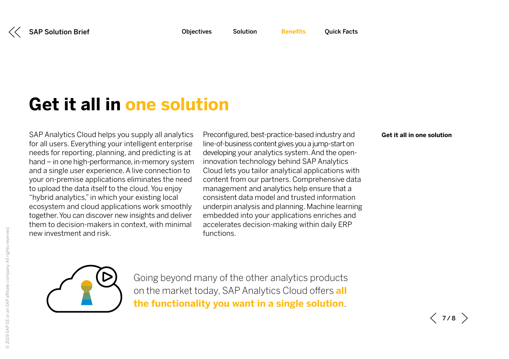## <span id="page-6-0"></span>**Get it all in one solution**

SAP Analytics Cloud helps you supply all analytics for all users. Everything your intelligent enterprise needs for reporting, planning, and predicting is at hand – in one high-performance, in-memory system and a single user experience. A live connection to your on-premise applications eliminates the need to upload the data itself to the cloud. You enjoy "hybrid analytics," in which your existing local ecosystem and cloud applications work smoothly together. You can discover new insights and deliver them to decision-makers in context, with minimal new investment and risk.

Preconfigured, best-practice-based industry and line-of-business content gives you a jump-start on developing your analytics system. And the openinnovation technology behind SAP Analytics Cloud lets you tailor analytical applications with content from our partners. Comprehensive data management and analytics help ensure that a consistent data model and trusted information underpin analysis and planning. Machine learning embedded into your applications enriches and accelerates decision-making within daily ERP functions.

#### **Get it all in one solution**



Going beyond many of the other analytics products on the market today, SAP Analytics Cloud offers **all the functionality you want in a single solution**.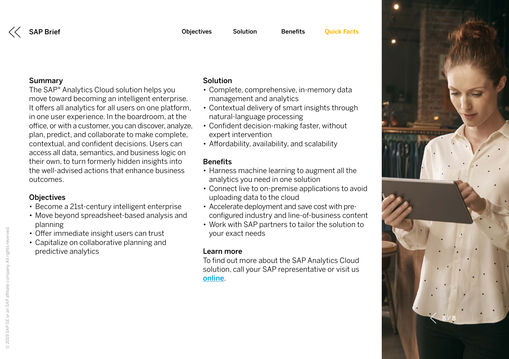### <span id="page-7-0"></span>Summary

The SAP® Analytics Cloud solution helps you move toward becoming an intelligent enterprise. It offers all analytics for all users on one platform, in one user experience. In the boardroom, at the office, or with a customer, you can discover, analyze, plan, predict, and collaborate to make complete, contextual, and confident decisions. Users can access all data, semantics, and business logic on their own, to turn formerly hidden insights into the well-advised actions that enhance business outcomes.

### **Objectives**

- Become a 21st-century intelligent enterprise
- Move beyond spreadsheet-based analysis and planning
- Offer immediate insight users can trust
- Capitalize on collaborative planning and predictive analytics

### Solution

- Complete, comprehensive, in-memory data management and analytics
- Contextual delivery of smart insights through natural-language processing
- Confident decision-making faster, without expert intervention
- Affordability, availability, and scalability

### **Benefits**

- Harness machine learning to augment all the analytics you need in one solution
- Connect live to on-premise applications to avoid uploading data to the cloud
- Accelerate deployment and save cost with preconfigured industry and line-of-business content
- Work with SAP partners to tailor the solution to your exact needs

### Learn more

To find out more about the SAP Analytics Cloud solution, call your SAP representative or visit us [online](http://www.sap.com/products/cloud-analytics.html).